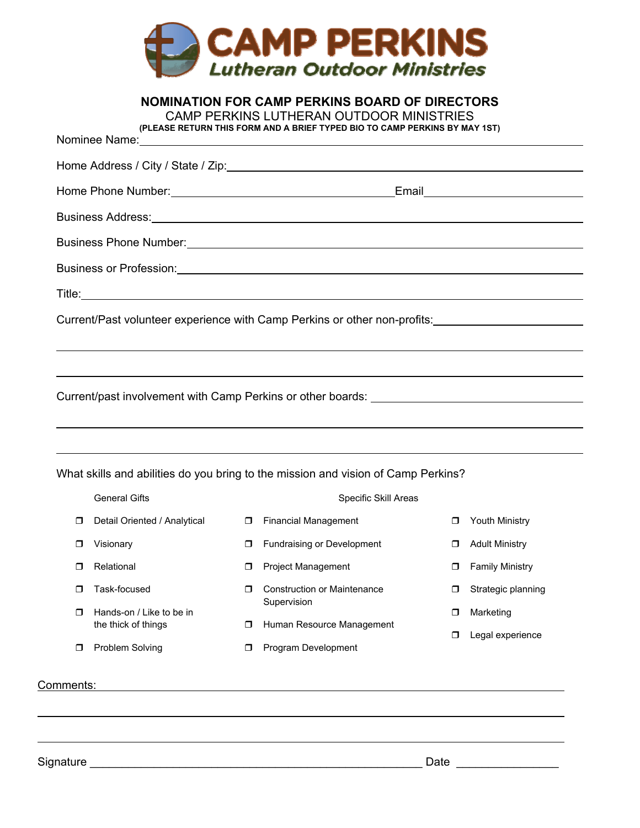

|                      |                              | <b>NOMINATION FOR CAMP PERKINS BOARD OF DIRECTORS</b><br>CAMP PERKINS LUTHERAN OUTDOOR MINISTRIES<br>(PLEASE RETURN THIS FORM AND A BRIEF TYPED BIO TO CAMP PERKINS BY MAY 1ST)<br>Nominee Name: Name: Nominal Assembly Nominal Assembly Nominal Assembly North Assembly No. 2014 |                                                                                                                                                                                                                                |
|----------------------|------------------------------|-----------------------------------------------------------------------------------------------------------------------------------------------------------------------------------------------------------------------------------------------------------------------------------|--------------------------------------------------------------------------------------------------------------------------------------------------------------------------------------------------------------------------------|
|                      |                              | Home Address / City / State / Zip: <b>Andrew Address / City / State / Zip: Address / City / State / Zip: Address / City / State / Zip: Address / City / State / Zip: Address / City / State / Zip: Address / City / St</b>                                                        |                                                                                                                                                                                                                                |
|                      |                              |                                                                                                                                                                                                                                                                                   | Home Phone Number: Now the Contract of the Contract of Contract of Contract of Contract of Contract of Contract of Contract of Contract of Contract of Contract of Contract of Contract of Contract of Contract of Contract of |
|                      |                              |                                                                                                                                                                                                                                                                                   |                                                                                                                                                                                                                                |
|                      |                              |                                                                                                                                                                                                                                                                                   |                                                                                                                                                                                                                                |
|                      |                              |                                                                                                                                                                                                                                                                                   |                                                                                                                                                                                                                                |
|                      |                              |                                                                                                                                                                                                                                                                                   |                                                                                                                                                                                                                                |
|                      |                              |                                                                                                                                                                                                                                                                                   | Current/Past volunteer experience with Camp Perkins or other non-profits:                                                                                                                                                      |
|                      |                              |                                                                                                                                                                                                                                                                                   | Current/past involvement with Camp Perkins or other boards: _____________________                                                                                                                                              |
|                      | <b>General Gifts</b>         | What skills and abilities do you bring to the mission and vision of Camp Perkins?<br>Specific Skill Areas                                                                                                                                                                         |                                                                                                                                                                                                                                |
| $\Box$               | Detail Oriented / Analytical | <b>D</b> Financial Management                                                                                                                                                                                                                                                     | Youth Ministry<br>$\Box$                                                                                                                                                                                                       |
| Visionary<br>$\Box$  | $\Box$                       | <b>Fundraising or Development</b>                                                                                                                                                                                                                                                 | <b>Adult Ministry</b><br>$\Box$                                                                                                                                                                                                |
| Relational<br>$\Box$ | $\Box$                       | <b>Project Management</b>                                                                                                                                                                                                                                                         | <b>Family Ministry</b><br>$\Box$                                                                                                                                                                                               |

- **Construction or Maintenance** Supervision
	- **Human Resource Management**

**Program Development** 

**D** Problem Solving

Hands-on / Like to be in the thick of things

**T** Task-focused

### Comments:

 $\overline{a}$ 

Signature \_\_\_\_\_\_\_\_\_\_\_\_\_\_\_\_\_\_\_\_\_\_\_\_\_\_\_\_\_\_\_\_\_\_\_\_\_\_\_\_\_\_\_\_\_\_\_\_\_\_\_\_ Date \_\_\_\_\_\_\_\_\_\_\_\_\_\_\_\_

**D** Strategic planning

**D** Legal experience

**D** Marketing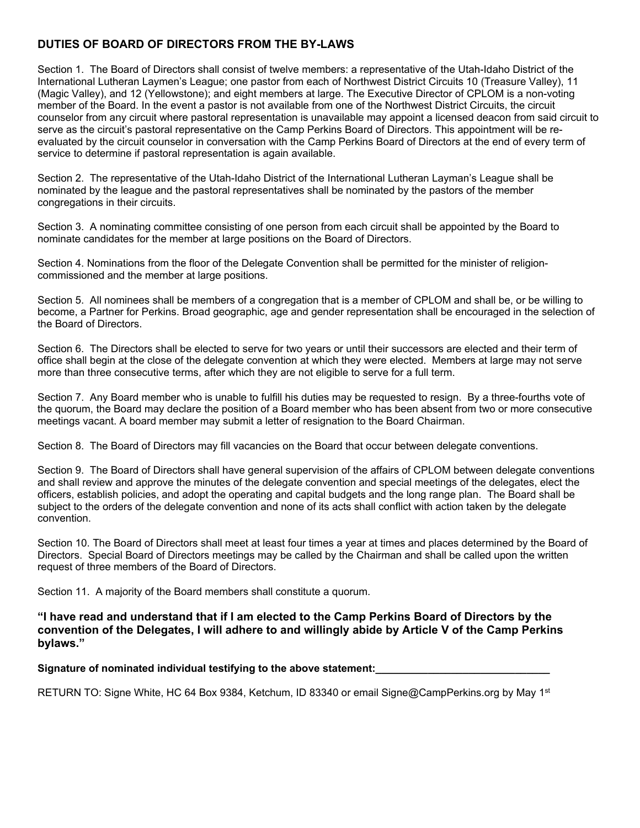# **DUTIES OF BOARD OF DIRECTORS FROM THE BY-LAWS**

Section 1. The Board of Directors shall consist of twelve members: a representative of the Utah-Idaho District of the International Lutheran Laymen's League; one pastor from each of Northwest District Circuits 10 (Treasure Valley), 11 (Magic Valley), and 12 (Yellowstone); and eight members at large. The Executive Director of CPLOM is a non-voting member of the Board. In the event a pastor is not available from one of the Northwest District Circuits, the circuit counselor from any circuit where pastoral representation is unavailable may appoint a licensed deacon from said circuit to serve as the circuit's pastoral representative on the Camp Perkins Board of Directors. This appointment will be reevaluated by the circuit counselor in conversation with the Camp Perkins Board of Directors at the end of every term of service to determine if pastoral representation is again available.

Section 2. The representative of the Utah-Idaho District of the International Lutheran Layman's League shall be nominated by the league and the pastoral representatives shall be nominated by the pastors of the member congregations in their circuits.

Section 3. A nominating committee consisting of one person from each circuit shall be appointed by the Board to nominate candidates for the member at large positions on the Board of Directors.

Section 4. Nominations from the floor of the Delegate Convention shall be permitted for the minister of religioncommissioned and the member at large positions.

Section 5. All nominees shall be members of a congregation that is a member of CPLOM and shall be, or be willing to become, a Partner for Perkins. Broad geographic, age and gender representation shall be encouraged in the selection of the Board of Directors.

Section 6. The Directors shall be elected to serve for two years or until their successors are elected and their term of office shall begin at the close of the delegate convention at which they were elected. Members at large may not serve more than three consecutive terms, after which they are not eligible to serve for a full term.

Section 7. Any Board member who is unable to fulfill his duties may be requested to resign. By a three-fourths vote of the quorum, the Board may declare the position of a Board member who has been absent from two or more consecutive meetings vacant. A board member may submit a letter of resignation to the Board Chairman.

Section 8. The Board of Directors may fill vacancies on the Board that occur between delegate conventions.

Section 9. The Board of Directors shall have general supervision of the affairs of CPLOM between delegate conventions and shall review and approve the minutes of the delegate convention and special meetings of the delegates, elect the officers, establish policies, and adopt the operating and capital budgets and the long range plan. The Board shall be subject to the orders of the delegate convention and none of its acts shall conflict with action taken by the delegate convention.

Section 10. The Board of Directors shall meet at least four times a year at times and places determined by the Board of Directors. Special Board of Directors meetings may be called by the Chairman and shall be called upon the written request of three members of the Board of Directors.

Section 11. A majority of the Board members shall constitute a quorum.

**"I have read and understand that if I am elected to the Camp Perkins Board of Directors by the convention of the Delegates, I will adhere to and willingly abide by Article V of the Camp Perkins bylaws."** 

Signature of nominated individual testifying to the above statement:

RETURN TO: Signe White, HC 64 Box 9384, Ketchum, ID 83340 or email Signe@CampPerkins.org by May 1<sup>st</sup>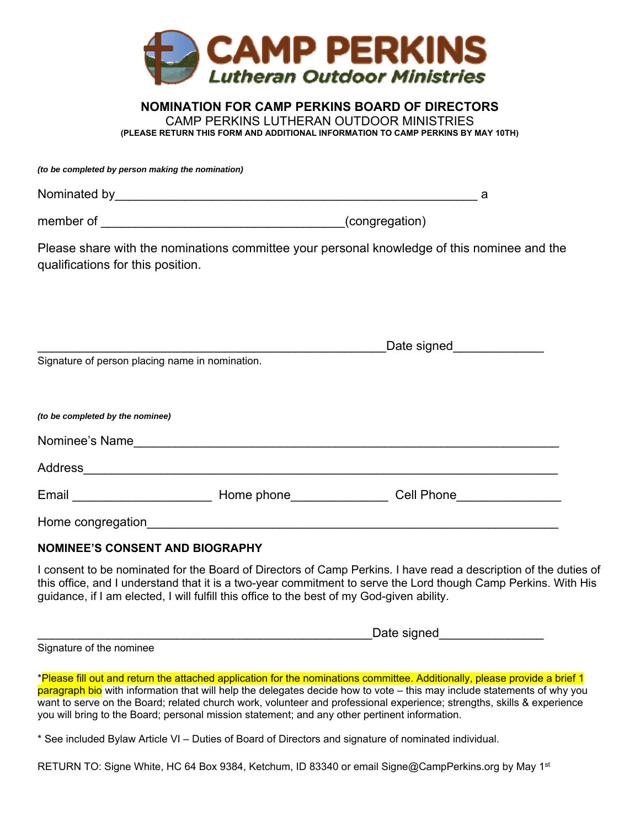

### **NOMINATION FOR CAMP PERKINS BOARD OF DIRECTORS**  CAMP PERKINS LUTHERAN OUTDOOR MINISTRIES **(PLEASE RETURN THIS FORM AND ADDITIONAL INFORMATION TO CAMP PERKINS BY MAY 10TH)**

*(to be completed by person making the nomination)* 

| Nominated by |                                 |  |
|--------------|---------------------------------|--|
| member of    | $\left($ congregation $\right)$ |  |

Please share with the nominations committee your personal knowledge of this nominee and the qualifications for this position.

|                                                 |                        | Date signed |  |
|-------------------------------------------------|------------------------|-------------|--|
| Signature of person placing name in nomination. |                        |             |  |
|                                                 |                        |             |  |
|                                                 |                        |             |  |
| (to be completed by the nominee)                |                        |             |  |
| Nominee's Name                                  |                        |             |  |
| Address                                         |                        |             |  |
| Email                                           | Home phone <b>Home</b> | Cell Phone  |  |
| Home congregation                               |                        |             |  |

## **NOMINEE'S CONSENT AND BIOGRAPHY**

I consent to be nominated for the Board of Directors of Camp Perkins. I have read a description of the duties of this office, and I understand that it is a two-year commitment to serve the Lord though Camp Perkins. With His guidance, if I am elected, I will fulfill this office to the best of my God-given ability.

|        |     |  | المستمر بمدارك والمستقرين<br>ile siuriec<br>_buto oiy |
|--------|-----|--|-------------------------------------------------------|
| $\sim$ | . . |  |                                                       |

Signature of the nominee

\*Please fill out and return the attached application for the nominations committee. Additionally, please provide a brief 1 paragraph bio with information that will help the delegates decide how to vote – this may include statements of why you want to serve on the Board; related church work, volunteer and professional experience; strengths, skills & experience you will bring to the Board; personal mission statement; and any other pertinent information.

\* See included Bylaw Article VI – Duties of Board of Directors and signature of nominated individual.

RETURN TO: Signe White, HC 64 Box 9384, Ketchum, ID 83340 or email Signe@CampPerkins.org by May 1<sup>st</sup>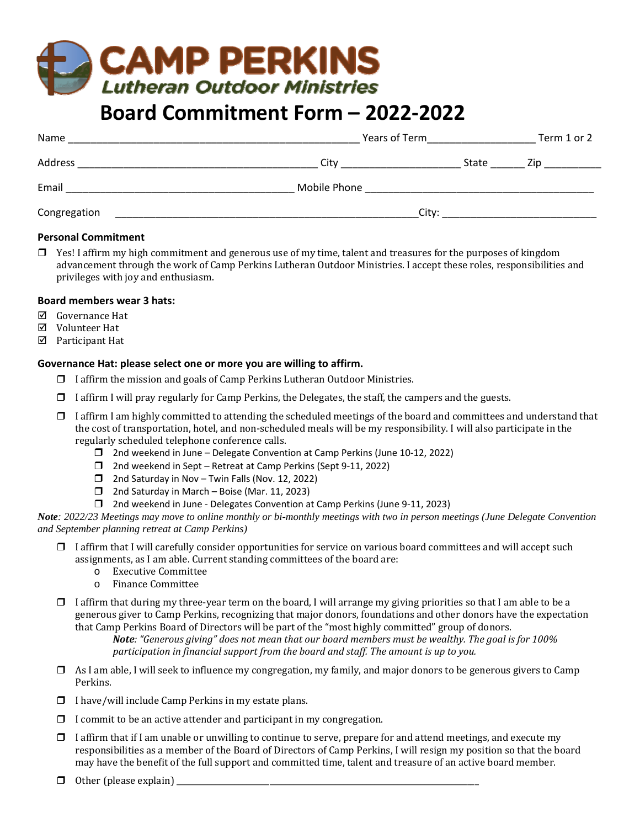# **CAMP PERKINS Lutheran Outdoor Ministries**

# **Board Commitment Form – 2022‐2022**

| Name         | Years of Term |       |      |
|--------------|---------------|-------|------|
| Address      | City          | State | Zip. |
| Email        | Mobile Phone  |       |      |
| Congregation |               | City: |      |

### **Personal Commitment**

 $\Box$  Yes! I affirm my high commitment and generous use of my time, talent and treasures for the purposes of kingdom advancement through the work of Camp Perkins Lutheran Outdoor Ministries. I accept these roles, responsibilities and privileges with joy and enthusiasm.

### **Board members wear 3 hats:**

- Governance Hat
- Volunteer Hat
- Participant Hat

### **Governance Hat: please select one or more you are willing to affirm.**

- $\Box$  I affirm the mission and goals of Camp Perkins Lutheran Outdoor Ministries.
- $\Box$  I affirm I will pray regularly for Camp Perkins, the Delegates, the staff, the campers and the guests.
- $\Box$  I affirm I am highly committed to attending the scheduled meetings of the board and committees and understand that the cost of transportation, hotel, and non-scheduled meals will be my responsibility. I will also participate in the regularly scheduled telephone conference calls.
	- □ 2nd weekend in June Delegate Convention at Camp Perkins (June 10-12, 2022)
	- □ 2nd weekend in Sept Retreat at Camp Perkins (Sept 9-11, 2022)
	- $\Box$  2nd Saturday in Nov Twin Falls (Nov. 12, 2022)
	- $\Box$  2nd Saturday in March Boise (Mar. 11, 2023)
	- 2nd weekend in June ‐ Delegates Convention at Camp Perkins (June 9‐11, 2023)

*Note: 2022/23 Meetings may move to online monthly or bi-monthly meetings with two in person meetings (June Delegate Convention and September planning retreat at Camp Perkins)*

- $\Box$  I affirm that I will carefully consider opportunities for service on various board committees and will accept such assignments, as I am able. Current standing committees of the board are:
	- o Executive Committee
	- o Finance Committee
- $\Box$  I affirm that during my three-year term on the board, I will arrange my giving priorities so that I am able to be a generous giver to Camp Perkins, recognizing that major donors, foundations and other donors have the expectation that Camp Perkins Board of Directors will be part of the "most highly committed" group of donors.

Note: "Generous giving" does not mean that our board members must be wealthy. The goal is for 100% *participation in financial support from the board and staff. The amount is up to you.*

- $\Box$  As I am able, I will seek to influence my congregation, my family, and major donors to be generous givers to Camp Perkins.
- $\Box$  I have/will include Camp Perkins in my estate plans.
- $\Box$  I commit to be an active attender and participant in my congregation.
- $\Box$  I affirm that if I am unable or unwilling to continue to serve, prepare for and attend meetings, and execute my responsibilities as a member of the Board of Directors of Camp Perkins, I will resign my position so that the board may have the benefit of the full support and committed time, talent and treasure of an active board member.
- $\Box$  Other (please explain)